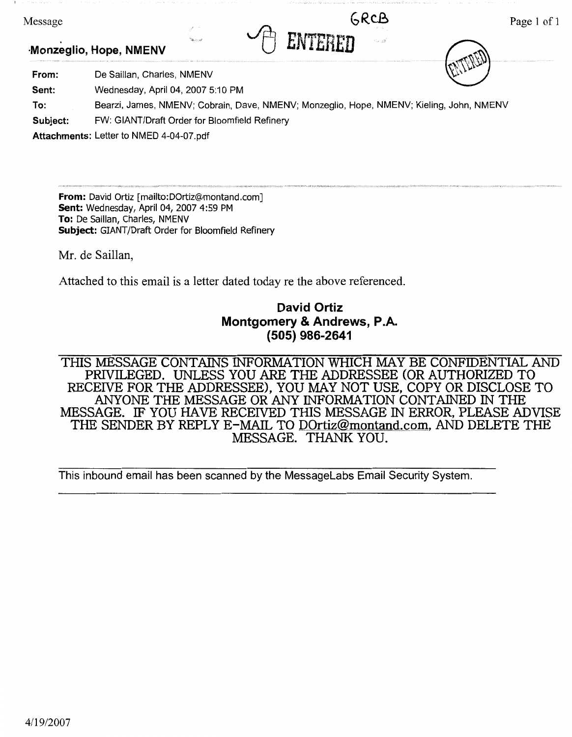| Message                |             |  |                            |  |        |
|------------------------|-------------|--|----------------------------|--|--------|
| Monzeglio, Hope, NMENV | 1996.5.2.20 |  | <b>REAL</b><br><b>Byta</b> |  |        |
|                        |             |  |                            |  | $\sim$ |

From: De Saillan, Charles, NMENV

**Sent:**  Wednesday, April 04, 2007 5:10 PM

**To:**  Bearzi, James, NMENV; Cobrain, Dave, NMENV; Monzeglio, Hope, NMENV; Kieling, John, NMENV

**Subject:**  FW: GIANT/Draft Order for Bloomfield Refinery

**Attachments:** Letter to NMED 4-04-07.pdf

**From:** David Ortiz [mailto:D0rtiz@montand.com] **Sent:** Wednesday, April 04, 2007 4:59 PM **To:** De Saillan, Charles, NMENV **Subject:** GIANT/Draft Order for Bloomfield Refinery

Mr. de Saillan,

Attached to this email is a letter dated today re the above referenced.

# **David Ortiz Montgomery** & **Andrews, P.A. (505) 986-2641**

THIS MESSAGE CONTAINS INFORMATION WHICH MAY BE CONFIDENTIAL AND PRIVILEGED. UNLESS YOU ARE THE ADDRESSEE (OR AUTHORIZED TO RECEIVE FOR THE ADDRESSEE), YOU MAY NOT USE, COPY OR DISCLOSE TO ANYONE THE MESSAGE OR ANY INFORMATION CONTAINED IN THE MESSAGE. IF YOU HAVE RECEIVED THIS MESSAGE IN ERROR, PLEASE ADVISE THE SENDER BY REPLY E-MAIL TO DOrtiz@montand.com, AND DELETE THE MESSAGE. THANK YOU.

This inbound email has been scanned by the Messagelabs Email Security System.

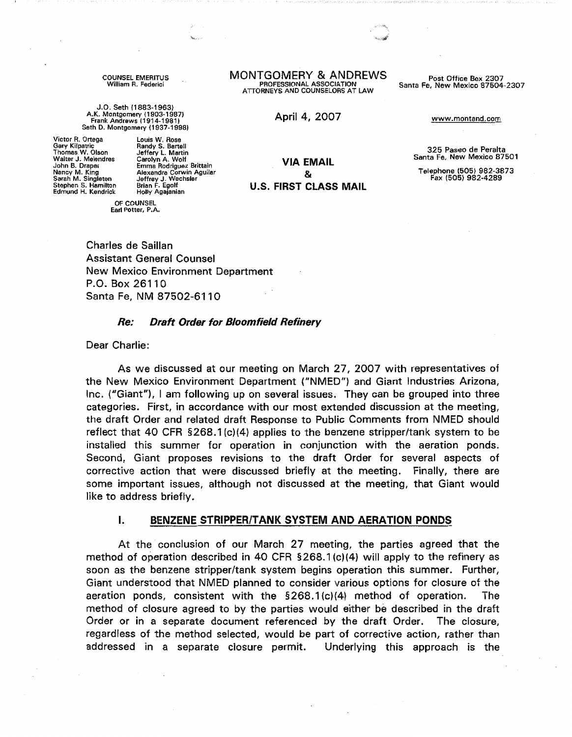COUNSEL EMERITUS William R. Federici

J.O. Seth (1883-1963) A.K. Montgomery ( 1903-1987) Frank Andrews (1914-1981) Seth D. Montgomery (1937-19981

Victor R. Ortega Gary Kilpatric Thomas W. Olson Walter J. Melendres John B. Draper Nancy M. King Sarah M. Singleton Stephen S. Hamilton Edmund H. Kendrick

Louis W. Rose Randy S. Bartell Jeffery L. Martin Carolyn A. Wolf Emma Rodriguez Brittain Alexandra Corwin Aguilar Jeffrey J. Wechsler Brian F. Egolf Holly Agajanian

OF COUNSEL Earl Potter, P.A. MONTGOMERY & ANDREWS PROFESSIONAL ASSOCIATION ATTORNEYS AND COUNSELORS AT LAW

Post Office Box 2307 Santa Fe, **New Mexico** 87504-2307

April 4, 2007

**VIA EMAIL**  & **U.S. FIRST CLASS MAIL**  www.montand.com

325 Paseo de Peralta Santa Fe, **New Mexico** 87501

Telephone (505) 982-3873 Fax (505) 982-4289

Charles de Saillan Assistant General Counsel New Mexico Environment Department P.O. Box 26110 Santa Fe, NM 87502-6110

#### **Re: Draft Order for Bloomfield Refinery**

Dear Charlie:

As we discussed at our meeting on March 27, 2007 with representatives of the New Mexico Environment Department ("NMED") and Giant Industries Arizona, Inc. ("Giant"), I am following up on several issues. They can be grouped into three categories. First, in accordance with our most extended discussion at the meeting, the draft Order and related draft Response to Public Comments from NMED should reflect that 40 CFR §268.1 (c)(4) applies to the benzene stripper/tank system to be installed this summer for operation in conjunction with the aeration ponds. Second, Giant proposes revisions to the draft Order for several aspects of corrective action that were discussed briefly at the meeting. Finally, there are some important issues, although not discussed at the meeting, that Giant would like to address briefly.

#### **I. BENZENE STRIPPER/TANK SYSTEM AND AERATION PONDS**

At the conclusion of our March 27 meeting, the parties agreed that the method of operation described in 40 CFR § 268.1 (c)(4) will apply to the refinery as soon as the benzene stripper/tank system begins operation this summer. Further, Giant understood that NMED planned to consider various options for closure of the aeration ponds, consistent with the §268.1 (c)(4) method of operation. The method of closure agreed to by the parties would either be described in the draft Order or in a separate document referenced by the draft Order. The closure, regardless of the method selected, would be part of corrective action, rather than addressed in a separate closure permit. Underlying this approach is the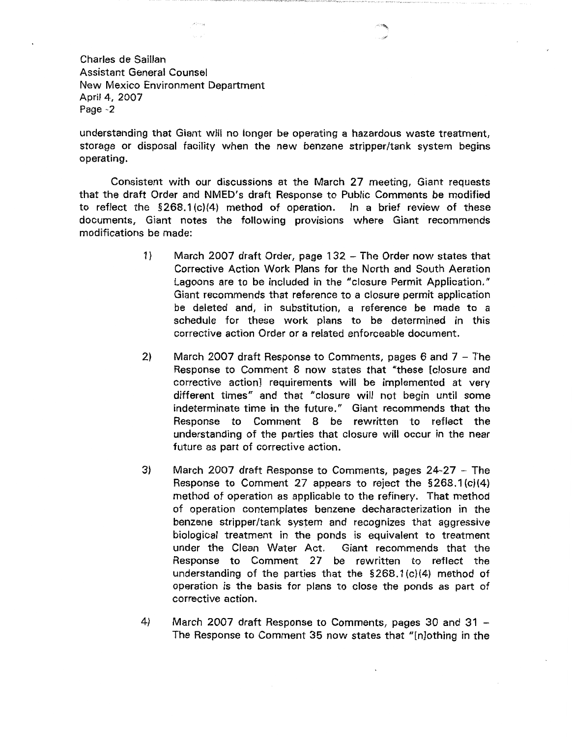understanding that Giant will no longer be operating a hazardous waste treatment, storage or disposal facility when the new benzene stripper/tank system begins operating.

Consistent with our discussions at the March 27 meeting, Giant requests that the draft Order and NMED's draft Response to Public Comments be modified to reflect the §268.1 (c)(4) method of operation. In a brief review of these documents, Giant notes the following provisions where Giant recommends modifications be made:

- 1) March 2007 draft Order, page 132 The Order now states that Corrective Action Work Plans for the North and South Aeration Lagoons are to be included in the "closure Permit Application." Giant recommends that reference to a closure permit application be deleted and, in substitution, a reference be made to a schedule for these work plans to be determined in this corrective action Order or a related enforceable document.
- 2) March 2007 draft Response to Comments, pages 6 and  $7 -$  The Response to Comment 8 now states that "these [closure and corrective action] requirements will be implemented at very different times" and that "closure will not begin until some indeterminate time in the future." Giant recommends that the Response to Comment 8 be rewritten to reflect the understanding of the parties that closure will occur in the near future as part of corrective action.
- 3) March 2007 draft Response to Comments, pages 24-27 The Response to Comment 27 appears to reject the §268.1 (c)(4) method of operation as applicable to the refinery. That method of operation contemplates benzene decharacterization in the benzene stripper/tank system and recognizes that aggressive biological treatment in the ponds is equivalent to treatment under the Clean Water Act. Giant recommends that the Response to Comment 27 be rewritten to reflect the understanding of the parties that the §268.1 (c)(4) method of operation is the basis for plans to close the ponds as part of corrective action.
- 4) March 2007 draft Response to Comments, pages 30 and 31 The Response to Comment 35 now states that "[nJothing in the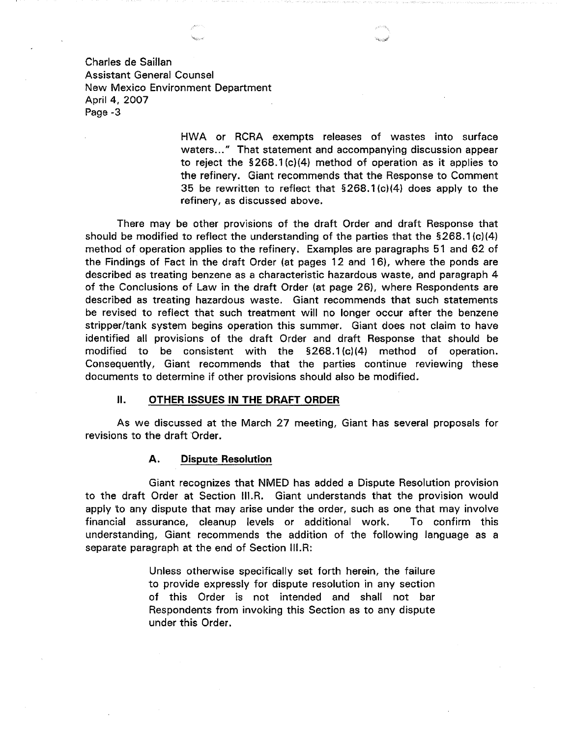> HWA or RCRA exempts releases of wastes into surface waters..." That statement and accompanying discussion appear to reject the § 268.1 (c)(4} method of operation as it applies to the refinery. Giant recommends that the Response to Comment 35 be rewritten to reflect that §268.1 (c)(4) does apply to the refinery, as discussed above.

There may be other provisions of the draft Order and draft Response that should be modified to reflect the understanding of the parties that the  $$268.1(c)(4)$ method of operation applies to the refinery. Examples are paragraphs 51 and 62 of the Findings of Fact in the draft Order (at pages 12 and 16), where the ponds are described as treating benzene as a characteristic hazardous waste, and paragraph 4 of the Conclusions of Law in the draft Order (at page 26), where Respondents are described as treating hazardous waste. Giant recommends that such statements be revised to reflect that such treatment will no longer occur after the benzene stripper/tank system begins operation this summer. Giant does not claim to have identified all provisions of the draft Order and draft Response that should be modified to be consistent with the §268.1 (c)(4} method of operation. Consequently, Giant recommends that the parties continue reviewing these documents to determine if other provisions should also be modified.

# **II. OTHER ISSUES IN THE DRAFT ORDER**

As we discussed at the March 27 meeting, Giant has several proposals for revisions to the draft Order.

#### **A. Dispute Resolution**

Giant recognizes that NMED has added a Dispute Resolution provision to the draft Order at Section III.R. Giant understands that the provision would apply to any dispute that may arise under the order, such as one that may involve financial assurance, cleanup levels or additional work. To confirm this understanding, Giant recommends the addition of the following language as a separate paragraph at the end of Section III.R:

> Unless otherwise specifically set forth herein, the failure to provide expressly for dispute resolution in any section of this Order is not intended and shall not bar Respondents from invoking this Section as to any dispute under this Order.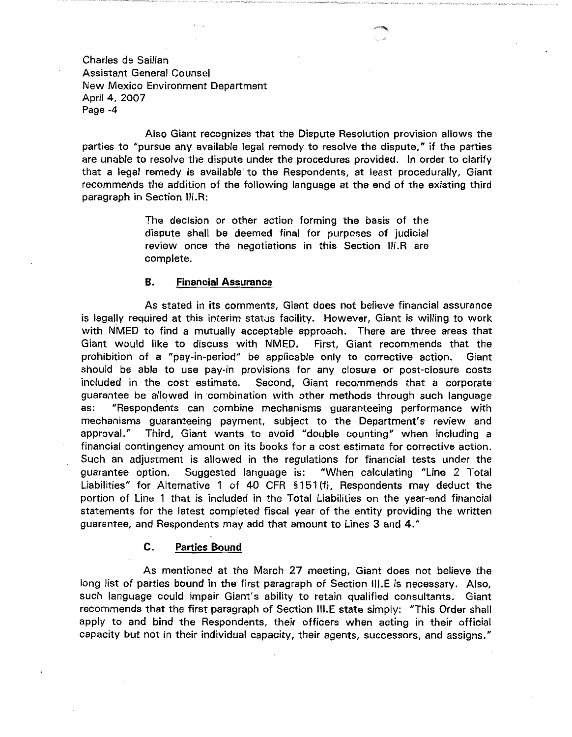Also Giant recognizes that the Dispute Resolution provision allows the parties to "pursue any available legal remedy to resolve the dispute," if the parties are unable to resolve the dispute under the procedures provided. In order to clarify that a legal remedy is available to the Respondents, at least procedurally, Giant recommends the addition of the following language at the end of the existing third paragraph in Section III.R:

> The decision or other action forming the basis of the dispute shall be deemed final for purposes of judicial review once the negotiations in this Section 111.R are complete.

# **B. Financial Assurance**

As stated in its comments, Giant does not believe financial assurance is legally required at this interim status facility. However, Giant is willing to work with NMED to find a mutually acceptable approach. There are three areas that Giant would like to discuss with NMED. First, Giant recommends that the prohibition of a "pay-in-period" be applicable only to corrective action. Giant should be able to use pay-in provisions for any closure or post-closure costs included in the cost estimate. Second, Giant recommends that a corporate guarantee be allowed in combination with other methods through such language as: "Respondents can combine mechanisms guaranteeing performance with mechanisms guaranteeing payment, subject to the Department's review and approval." Third, Giant wants to avoid "double counting" when including a financial contingency amount on its books for a cost estimate for corrective action. Such an adjustment is allowed in the regulations for financial tests under the guarantee option. Suggested language is: "When calculating "Line 2 Total Liabilities" for Alternative 1 of 40 CFR § 1 51 (f), Respondents may deduct the portion of Line 1 that is included in the Total Liabilities on the year-end financial statements for the latest completed fiscal year of the entity providing the written guarantee, and Respondents may add that amount to Lines 3 and 4."

## **C. Parties Bound**

As mentioned at the March 27 meeting, Giant does not believe the long list of parties bound in the first paragraph of Section III.E is necessary. Also, such language could impair Giant's ability to retain qualified consultants. Giant recommends that the first paragraph of Section 111.E state simply: "This Order shall apply to and bind the Respondents, their officers when acting in their official capacity but not in their individual capacity, their agents, successors, and assigns."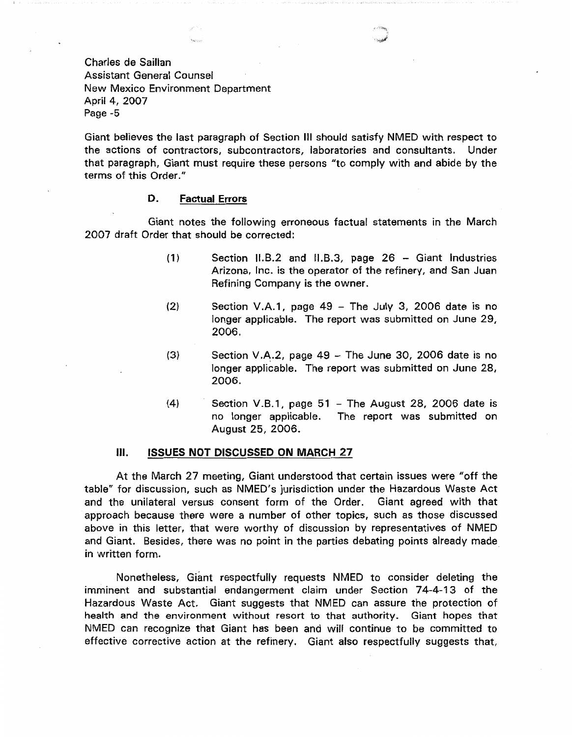Giant believes the last paragraph of Section Ill should satisfy NMED with respect to the actions of contractors, subcontractors, laboratories and consultants. Under that paragraph, Giant must require these persons "to comply with and abide by the terms of this Order."

### **D. Factual Errors**

Giant notes the following erroneous factual statements in the March 2007 draft Order that should be corrected:

- (1) Section 11.8.2 and 11.B.3, page 26 Giant Industries Arizona, Inc. is the operator of the refinery, and San Juan Refining Company is the owner.
- (2) Section V.A.1, page 49 The July 3, 2006 date is no longer applicable. The report was submitted on June 29, 2006.
- $(3)$  Section V.A.2, page 49 The June 30, 2006 date is no longer applicable. The report was submitted on June 28, 2006.
- $(4)$  Section V.B.1, page 51 The August 28, 2006 date is no longer applicable. The report was submitted on August 25, 2006.

#### Ill. **ISSUES NOT DISCUSSED ON MARCH 27**

At the March 27 meeting, Giant understood that certain issues were "off the table" for discussion, such as NMED's jurisdiction under the Hazardous Waste Act and the unilateral versus consent form of the Order. Giant agreed with that approach because there were a number of other topics, such as those discussed above in this letter, that were worthy of discussion by representatives of NMED and Giant. Besides, there was no point in the parties debating points already made in written form.

Nonetheless, Giant respectfully requests NMED to consider deleting the imminent and substantial endangerment claim under Section 74-4-13 of the Hazardous Waste Act. Giant suggests that NMED can assure the protection of health and the environment without resort to that authority. Giant hopes that NMED can recognize that Giant has been and will continue to be committed to effective corrective action at the refinery. Giant also respectfully suggests that,